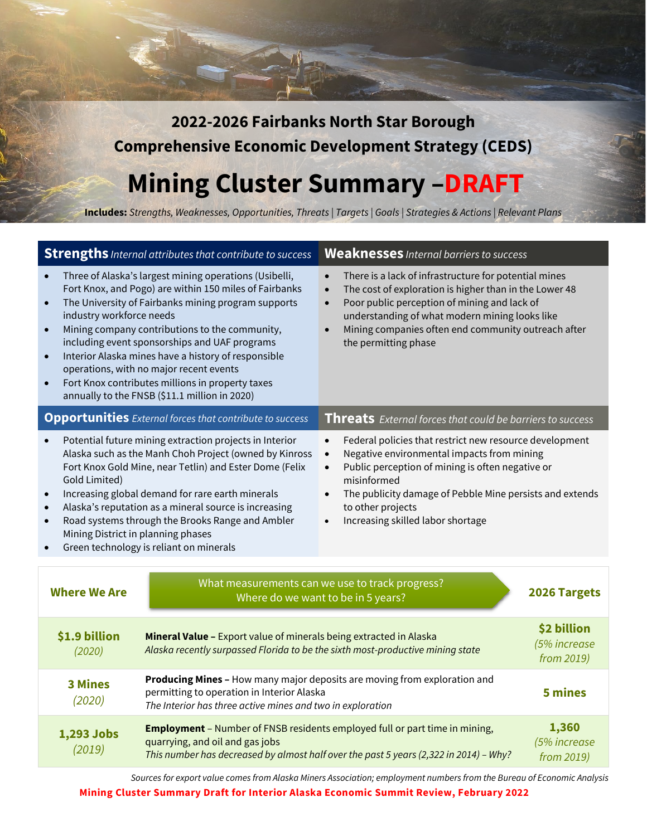**2022-2026 Fairbanks North Star Borough Comprehensive Economic Development Strategy (CEDS)** 

**Mining Cluster Summary –DRAFT**

**Includes:** *Strengths, Weaknesses, Opportunities, Threats | Targets | Goals | Strategies & Actions | Relevant Plans*

| <b>Strengths</b> Internal attributes that contribute to success                                                                                                                                                                                                                                                                                                                                                                                                                                                                                      |                                                                                                                                                                                                                                                       | <b>Weaknesses</b> Internal barriers to success                                                                                                                                                                                                                                                                                                                  |                                           |
|------------------------------------------------------------------------------------------------------------------------------------------------------------------------------------------------------------------------------------------------------------------------------------------------------------------------------------------------------------------------------------------------------------------------------------------------------------------------------------------------------------------------------------------------------|-------------------------------------------------------------------------------------------------------------------------------------------------------------------------------------------------------------------------------------------------------|-----------------------------------------------------------------------------------------------------------------------------------------------------------------------------------------------------------------------------------------------------------------------------------------------------------------------------------------------------------------|-------------------------------------------|
| Three of Alaska's largest mining operations (Usibelli,<br>Fort Knox, and Pogo) are within 150 miles of Fairbanks<br>The University of Fairbanks mining program supports<br>industry workforce needs<br>Mining company contributions to the community,<br>$\bullet$<br>including event sponsorships and UAF programs<br>Interior Alaska mines have a history of responsible<br>$\bullet$<br>operations, with no major recent events<br>Fort Knox contributes millions in property taxes<br>$\bullet$<br>annually to the FNSB (\$11.1 million in 2020) |                                                                                                                                                                                                                                                       | There is a lack of infrastructure for potential mines<br>$\bullet$<br>The cost of exploration is higher than in the Lower 48<br>$\bullet$<br>Poor public perception of mining and lack of<br>$\bullet$<br>understanding of what modern mining looks like<br>Mining companies often end community outreach after<br>$\bullet$<br>the permitting phase            |                                           |
|                                                                                                                                                                                                                                                                                                                                                                                                                                                                                                                                                      | <b>Opportunities</b> External forces that contribute to success                                                                                                                                                                                       | Threats External forces that could be barriers to success                                                                                                                                                                                                                                                                                                       |                                           |
| Potential future mining extraction projects in Interior<br>Alaska such as the Manh Choh Project (owned by Kinross<br>Fort Knox Gold Mine, near Tetlin) and Ester Dome (Felix<br>Gold Limited)<br>Increasing global demand for rare earth minerals<br>$\bullet$<br>Alaska's reputation as a mineral source is increasing<br>Road systems through the Brooks Range and Ambler<br>Mining District in planning phases<br>Green technology is reliant on minerals                                                                                         |                                                                                                                                                                                                                                                       | Federal policies that restrict new resource development<br>$\bullet$<br>Negative environmental impacts from mining<br>$\bullet$<br>Public perception of mining is often negative or<br>$\bullet$<br>misinformed<br>The publicity damage of Pebble Mine persists and extends<br>$\bullet$<br>to other projects<br>Increasing skilled labor shortage<br>$\bullet$ |                                           |
|                                                                                                                                                                                                                                                                                                                                                                                                                                                                                                                                                      |                                                                                                                                                                                                                                                       |                                                                                                                                                                                                                                                                                                                                                                 |                                           |
| <b>Where We Are</b>                                                                                                                                                                                                                                                                                                                                                                                                                                                                                                                                  |                                                                                                                                                                                                                                                       | What measurements can we use to track progress?<br>Where do we want to be in 5 years?                                                                                                                                                                                                                                                                           | 2026 Targets                              |
| \$1.9 billion<br>(2020)                                                                                                                                                                                                                                                                                                                                                                                                                                                                                                                              | Mineral Value - Export value of minerals being extracted in Alaska<br>Alaska recently surpassed Florida to be the sixth most-productive mining state                                                                                                  |                                                                                                                                                                                                                                                                                                                                                                 | \$2 billion<br>(5% increase<br>from 2019) |
| <b>3 Mines</b><br>(2020)                                                                                                                                                                                                                                                                                                                                                                                                                                                                                                                             | Producing Mines - How many major deposits are moving from exploration and<br>5 mines<br>permitting to operation in Interior Alaska<br>The Interior has three active mines and two in exploration                                                      |                                                                                                                                                                                                                                                                                                                                                                 |                                           |
| 1,293 Jobs<br>(2019)                                                                                                                                                                                                                                                                                                                                                                                                                                                                                                                                 | 1,360<br><b>Employment</b> - Number of FNSB residents employed full or part time in mining,<br>quarrying, and oil and gas jobs<br>(5% increase<br>This number has decreased by almost half over the past 5 years (2,322 in 2014) - Why?<br>from 2019) |                                                                                                                                                                                                                                                                                                                                                                 |                                           |
|                                                                                                                                                                                                                                                                                                                                                                                                                                                                                                                                                      |                                                                                                                                                                                                                                                       |                                                                                                                                                                                                                                                                                                                                                                 |                                           |

*Sources for export value comes from Alaska Miners Association; employment numbers from the Bureau of Economic Analysis*

**Mining Cluster Summary Draft for Interior Alaska Economic Summit Review, February 2022**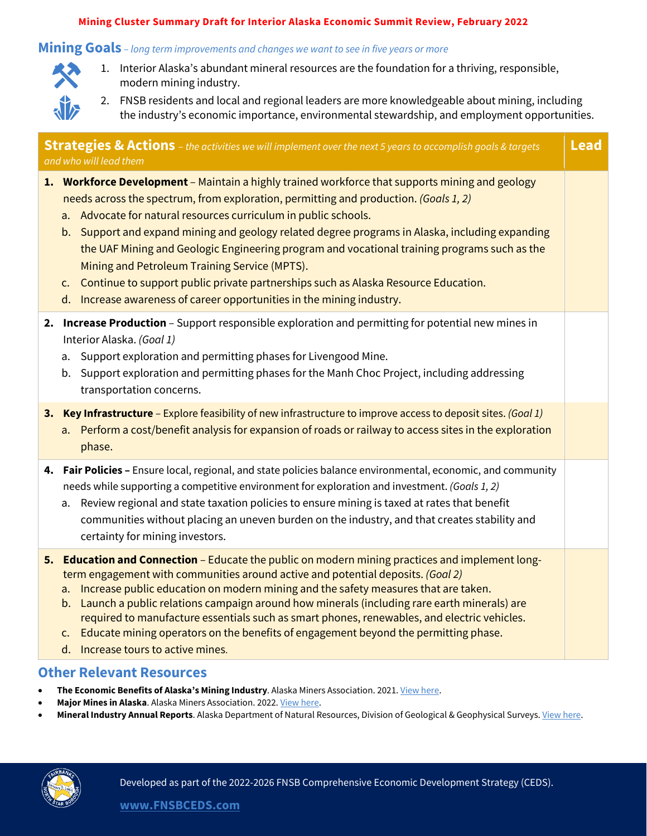#### **Mining Cluster Summary Draft for Interior Alaska Economic Summit Review, February 2022**

### **Mining Goals** *– long term improvements and changes we want to see in five years or more*



- 1. Interior Alaska's abundant mineral resources are the foundation for a thriving, responsible, modern mining industry.
- 2. FNSB residents and local and regional leaders are more knowledgeable about mining, including the industry's economic importance, environmental stewardship, and employment opportunities.

| <b>Lead</b><br><b>Strategies &amp; Actions</b> – the activities we will implement over the next 5 years to accomplish goals & targets<br>and who will lead them |                                                                                                                                                                                                                                                                                                                                                                                                                                                                                                                                                                                                                                                                                  |  |  |  |
|-----------------------------------------------------------------------------------------------------------------------------------------------------------------|----------------------------------------------------------------------------------------------------------------------------------------------------------------------------------------------------------------------------------------------------------------------------------------------------------------------------------------------------------------------------------------------------------------------------------------------------------------------------------------------------------------------------------------------------------------------------------------------------------------------------------------------------------------------------------|--|--|--|
|                                                                                                                                                                 | 1. Workforce Development - Maintain a highly trained workforce that supports mining and geology<br>needs across the spectrum, from exploration, permitting and production. (Goals 1, 2)<br>a. Advocate for natural resources curriculum in public schools.<br>b. Support and expand mining and geology related degree programs in Alaska, including expanding<br>the UAF Mining and Geologic Engineering program and vocational training programs such as the<br>Mining and Petroleum Training Service (MPTS).<br>c. Continue to support public private partnerships such as Alaska Resource Education.<br>d. Increase awareness of career opportunities in the mining industry. |  |  |  |
|                                                                                                                                                                 | 2. Increase Production - Support responsible exploration and permitting for potential new mines in<br>Interior Alaska. (Goal 1)<br>Support exploration and permitting phases for Livengood Mine.<br>а.<br>Support exploration and permitting phases for the Manh Choc Project, including addressing<br>b.<br>transportation concerns.                                                                                                                                                                                                                                                                                                                                            |  |  |  |
|                                                                                                                                                                 | 3. Key Infrastructure - Explore feasibility of new infrastructure to improve access to deposit sites. (Goal 1)<br>a. Perform a cost/benefit analysis for expansion of roads or railway to access sites in the exploration<br>phase.                                                                                                                                                                                                                                                                                                                                                                                                                                              |  |  |  |
|                                                                                                                                                                 | 4. Fair Policies - Ensure local, regional, and state policies balance environmental, economic, and community<br>needs while supporting a competitive environment for exploration and investment. (Goals 1, 2)<br>Review regional and state taxation policies to ensure mining is taxed at rates that benefit<br>a.<br>communities without placing an uneven burden on the industry, and that creates stability and<br>certainty for mining investors.                                                                                                                                                                                                                            |  |  |  |
|                                                                                                                                                                 | 5. Education and Connection - Educate the public on modern mining practices and implement long-<br>term engagement with communities around active and potential deposits. (Goal 2)<br>a. Increase public education on modern mining and the safety measures that are taken.<br>b. Launch a public relations campaign around how minerals (including rare earth minerals) are<br>required to manufacture essentials such as smart phones, renewables, and electric vehicles.<br>c. Educate mining operators on the benefits of engagement beyond the permitting phase.<br>d. Increase tours to active mines.                                                                      |  |  |  |
|                                                                                                                                                                 | <b>Other Relevant Resources</b>                                                                                                                                                                                                                                                                                                                                                                                                                                                                                                                                                                                                                                                  |  |  |  |

- **The Economic Benefits of Alaska's Mining Industry**. Alaska Miners Association. 2021[. View here.](https://www.mcdowellgroup.net/wp-content/uploads/2021/03/ama-summary-brochure-february-2021.pdf)
- Major Mines in Alaska. Alaska Miners Association. 2022. [View here.](http://www.alaskaminers.org/major-mines)
- **Mineral Industry Annual Reports**. Alaska Department of Natural Resources, Division of Geological & Geophysical Surveys. [View here.](https://dggs.alaska.gov/pubs/minerals)

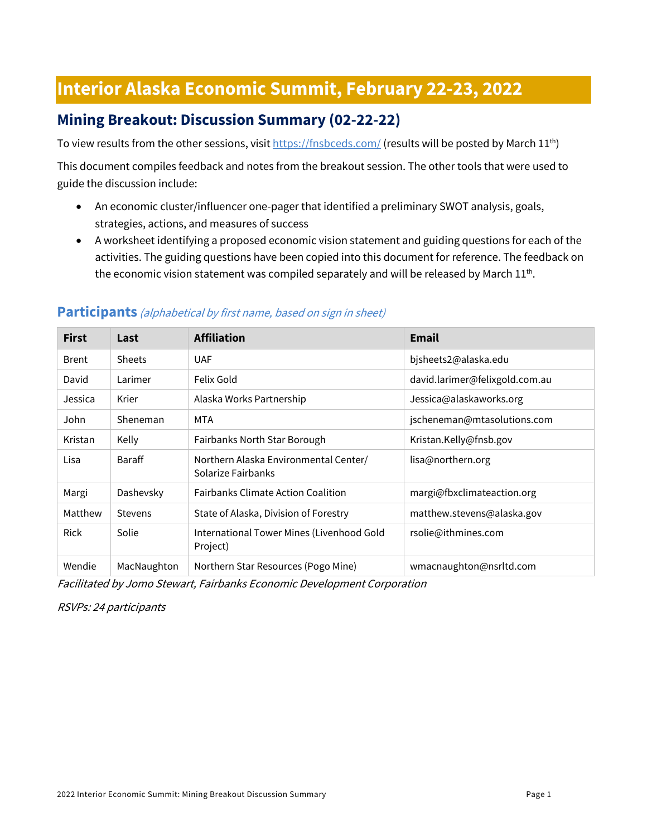# **Interior Alaska Economic Summit, February 22-23, 2022**

# **Mining Breakout: Discussion Summary (02-22-22)**

To view results from the other sessions, visi[t https://fnsbceds.com/](https://fnsbceds.com/) (results will be posted by March 11<sup>th</sup>)

This document compiles feedback and notes from the breakout session. The other tools that were used to guide the discussion include:

- An economic cluster/influencer one-pager that identified a preliminary SWOT analysis, goals, strategies, actions, and measures of success
- A worksheet identifying a proposed economic vision statement and guiding questions for each of the activities. The guiding questions have been copied into this document for reference. The feedback on the economic vision statement was compiled separately and will be released by March  $11^{th}$ .

| <b>First</b> | Last           | <b>Affiliation</b>                                          | <b>Email</b>                   |
|--------------|----------------|-------------------------------------------------------------|--------------------------------|
| <b>Brent</b> | <b>Sheets</b>  | <b>UAF</b>                                                  | bjsheets2@alaska.edu           |
| David        | Larimer        | Felix Gold                                                  | david.larimer@felixgold.com.au |
| Jessica      | Krier          | Alaska Works Partnership                                    | Jessica@alaskaworks.org        |
| John         | Sheneman       | MTA                                                         | jscheneman@mtasolutions.com    |
| Kristan      | Kelly          | Fairbanks North Star Borough                                | Kristan.Kelly@fnsb.gov         |
| Lisa         | <b>Baraff</b>  | Northern Alaska Environmental Center/<br>Solarize Fairbanks | lisa@northern.org              |
| Margi        | Dashevsky      | <b>Fairbanks Climate Action Coalition</b>                   | margi@fbxclimateaction.org     |
| Matthew      | <b>Stevens</b> | State of Alaska, Division of Forestry                       | matthew.stevens@alaska.gov     |
| <b>Rick</b>  | Solie          | International Tower Mines (Livenhood Gold<br>Project)       | rsolie@ithmines.com            |
| Wendie       | MacNaughton    | Northern Star Resources (Pogo Mine)                         | wmacnaughton@nsrltd.com        |

#### **Participants** (alphabetical by first name, based on sign in sheet)

Facilitated by Jomo Stewart, Fairbanks Economic Development Corporation

RSVPs: 24 participants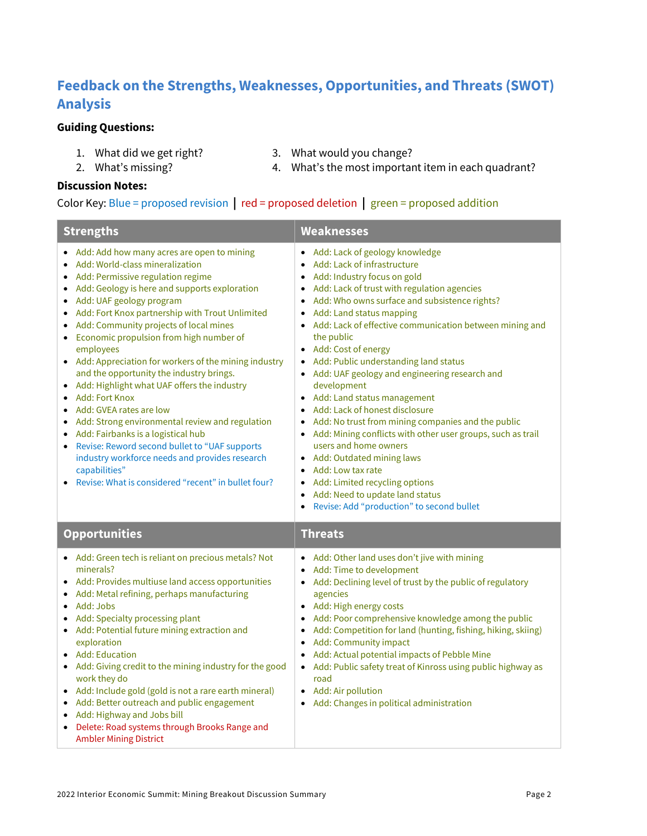# **Feedback on the Strengths, Weaknesses, Opportunities, and Threats (SWOT) Analysis**

#### **Guiding Questions:**

- 
- 1. What did we get right? 3. What would you change?
- 2. What's missing?

4. What's the most important item in each quadrant?

#### **Discussion Notes:**

#### Color Key: Blue = proposed revision **|** red = proposed deletion **|** green = proposed addition

| <b>Strengths</b>                                                                                                                                                                                                                                                                                                                                                                                                                                                                                                                                                                                                                                                                                                                                                                                                                                                                                                      | <b>Weaknesses</b>                                                                                                                                                                                                                                                                                                                                                                                                                                                                                                                                                                                                                                                                                                                                                                                                                                                 |  |
|-----------------------------------------------------------------------------------------------------------------------------------------------------------------------------------------------------------------------------------------------------------------------------------------------------------------------------------------------------------------------------------------------------------------------------------------------------------------------------------------------------------------------------------------------------------------------------------------------------------------------------------------------------------------------------------------------------------------------------------------------------------------------------------------------------------------------------------------------------------------------------------------------------------------------|-------------------------------------------------------------------------------------------------------------------------------------------------------------------------------------------------------------------------------------------------------------------------------------------------------------------------------------------------------------------------------------------------------------------------------------------------------------------------------------------------------------------------------------------------------------------------------------------------------------------------------------------------------------------------------------------------------------------------------------------------------------------------------------------------------------------------------------------------------------------|--|
| Add: Add how many acres are open to mining<br>Add: World-class mineralization<br>Add: Permissive regulation regime<br>Add: Geology is here and supports exploration<br>Add: UAF geology program<br>$\bullet$<br>Add: Fort Knox partnership with Trout Unlimited<br>$\bullet$<br>• Add: Community projects of local mines<br>• Economic propulsion from high number of<br>employees<br>• Add: Appreciation for workers of the mining industry<br>and the opportunity the industry brings.<br>Add: Highlight what UAF offers the industry<br>$\bullet$<br><b>Add: Fort Knox</b><br>$\bullet$<br>Add: GVEA rates are low<br>$\bullet$<br>Add: Strong environmental review and regulation<br>Add: Fairbanks is a logistical hub<br>$\bullet$<br>• Revise: Reword second bullet to "UAF supports<br>industry workforce needs and provides research<br>capabilities"<br>Revise: What is considered "recent" in bullet four? | • Add: Lack of geology knowledge<br>• Add: Lack of infrastructure<br>• Add: Industry focus on gold<br>• Add: Lack of trust with regulation agencies<br>• Add: Who owns surface and subsistence rights?<br>• Add: Land status mapping<br>• Add: Lack of effective communication between mining and<br>the public<br>• Add: Cost of energy<br>• Add: Public understanding land status<br>• Add: UAF geology and engineering research and<br>development<br>• Add: Land status management<br>• Add: Lack of honest disclosure<br>Add: No trust from mining companies and the public<br>• Add: Mining conflicts with other user groups, such as trail<br>users and home owners<br>• Add: Outdated mining laws<br>• Add: Low tax rate<br>• Add: Limited recycling options<br>Add: Need to update land status<br>$\bullet$<br>Revise: Add "production" to second bullet |  |
| <b>Opportunities</b>                                                                                                                                                                                                                                                                                                                                                                                                                                                                                                                                                                                                                                                                                                                                                                                                                                                                                                  | <b>Threats</b>                                                                                                                                                                                                                                                                                                                                                                                                                                                                                                                                                                                                                                                                                                                                                                                                                                                    |  |
| • Add: Green tech is reliant on precious metals? Not<br>minerals?<br>Add: Provides multiuse land access opportunities<br>Add: Metal refining, perhaps manufacturing<br>Add: Jobs<br>Add: Specialty processing plant<br>٠<br>• Add: Potential future mining extraction and<br>exploration<br>• Add: Education<br>• Add: Giving credit to the mining industry for the good<br>work they do<br>• Add: Include gold (gold is not a rare earth mineral)<br>Add: Better outreach and public engagement<br>$\bullet$<br>Add: Highway and Jobs bill<br>$\bullet$<br>• Delete: Road systems through Brooks Range and<br><b>Ambler Mining District</b>                                                                                                                                                                                                                                                                          | • Add: Other land uses don't jive with mining<br>• Add: Time to development<br>• Add: Declining level of trust by the public of regulatory<br>agencies<br>• Add: High energy costs<br>• Add: Poor comprehensive knowledge among the public<br>• Add: Competition for land (hunting, fishing, hiking, skiing)<br>• Add: Community impact<br>• Add: Actual potential impacts of Pebble Mine<br>• Add: Public safety treat of Kinross using public highway as<br>road<br>• Add: Air pollution<br>• Add: Changes in political administration                                                                                                                                                                                                                                                                                                                          |  |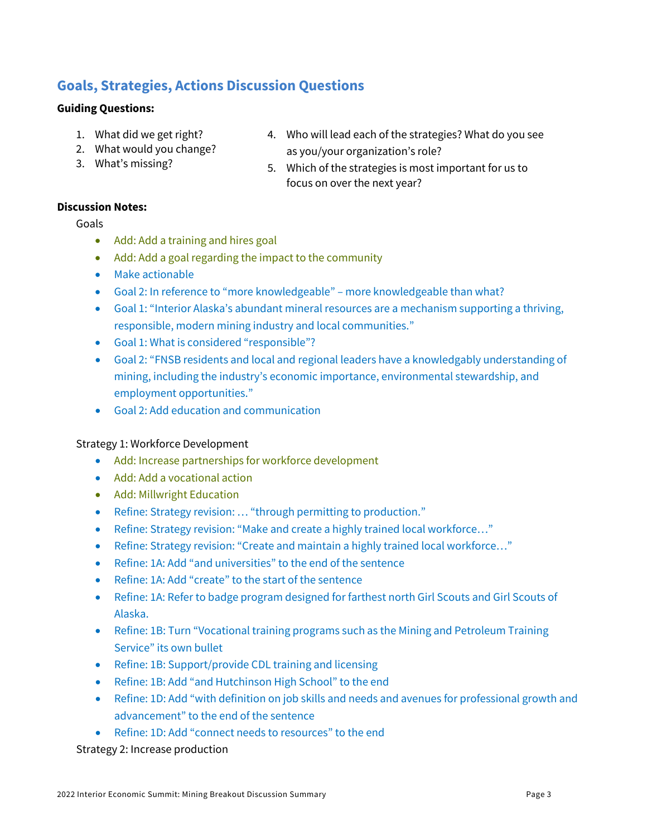## **Goals, Strategies, Actions Discussion Questions**

#### **Guiding Questions:**

- 1. What did we get right?
- 2. What would you change?
- 3. What's missing?
- 4. Who will lead each of the strategies? What do you see as you/your organization's role?
- 5. Which of the strategies is most important for us to focus on over the next year?

#### **Discussion Notes:**

Goals

- Add: Add a training and hires goal
- Add: Add a goal regarding the impact to the community
- Make actionable
- Goal 2: In reference to "more knowledgeable" more knowledgeable than what?
- Goal 1: "Interior Alaska's abundant mineral resources are a mechanism supporting a thriving, responsible, modern mining industry and local communities."
- Goal 1: What is considered "responsible"?
- Goal 2: "FNSB residents and local and regional leaders have a knowledgably understanding of mining, including the industry's economic importance, environmental stewardship, and employment opportunities."
- Goal 2: Add education and communication

#### Strategy 1: Workforce Development

- Add: Increase partnerships for workforce development
- Add: Add a vocational action
- Add: Millwright Education
- Refine: Strategy revision: … "through permitting to production."
- Refine: Strategy revision: "Make and create a highly trained local workforce..."
- Refine: Strategy revision: "Create and maintain a highly trained local workforce..."
- Refine: 1A: Add "and universities" to the end of the sentence
- Refine: 1A: Add "create" to the start of the sentence
- Refine: 1A: Refer to badge program designed for farthest north Girl Scouts and Girl Scouts of Alaska.
- Refine: 1B: Turn "Vocational training programs such as the Mining and Petroleum Training Service" its own bullet
- Refine: 1B: Support/provide CDL training and licensing
- Refine: 1B: Add "and Hutchinson High School" to the end
- Refine: 1D: Add "with definition on job skills and needs and avenues for professional growth and advancement" to the end of the sentence
- Refine: 1D: Add "connect needs to resources" to the end

Strategy 2: Increase production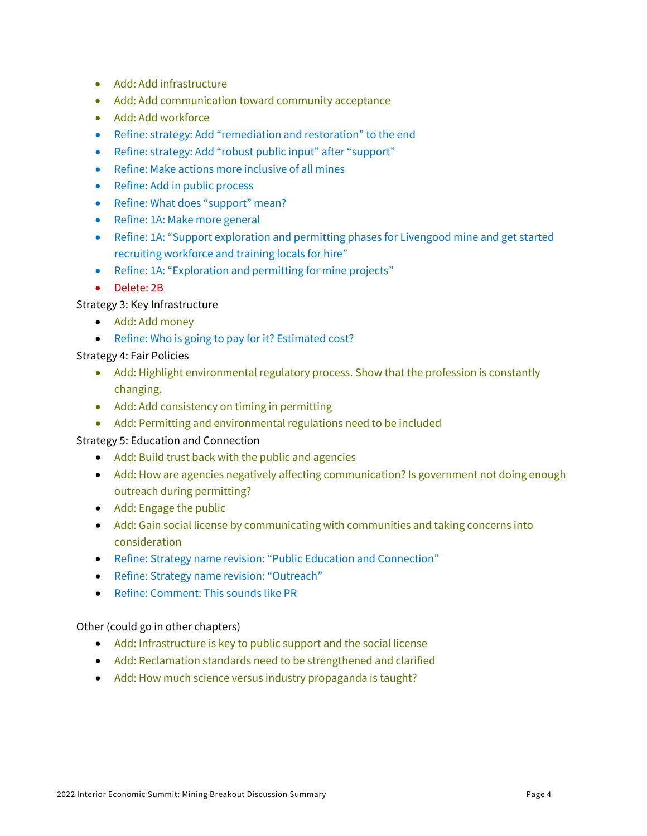- Add: Add infrastructure
- Add: Add communication toward community acceptance
- Add: Add workforce
- Refine: strategy: Add "remediation and restoration" to the end
- Refine: strategy: Add "robust public input" after "support"
- Refine: Make actions more inclusive of all mines
- Refine: Add in public process
- Refine: What does "support" mean?
- Refine: 1A: Make more general
- Refine: 1A: "Support exploration and permitting phases for Livengood mine and get started recruiting workforce and training locals for hire"
- Refine: 1A: "Exploration and permitting for mine projects"
- Delete: 2B

Strategy 3: Key Infrastructure

- Add: Add money
- Refine: Who is going to pay for it? Estimated cost?

#### Strategy 4: Fair Policies

- Add: Highlight environmental regulatory process. Show that the profession is constantly changing.
- Add: Add consistency on timing in permitting
- Add: Permitting and environmental regulations need to be included

#### Strategy 5: Education and Connection

- Add: Build trust back with the public and agencies
- Add: How are agencies negatively affecting communication? Is government not doing enough outreach during permitting?
- Add: Engage the public
- Add: Gain social license by communicating with communities and taking concerns into consideration
- Refine: Strategy name revision: "Public Education and Connection"
- Refine: Strategy name revision: "Outreach"
- Refine: Comment: This sounds like PR

#### Other (could go in other chapters)

- Add: Infrastructure is key to public support and the social license
- Add: Reclamation standards need to be strengthened and clarified
- Add: How much science versus industry propaganda is taught?